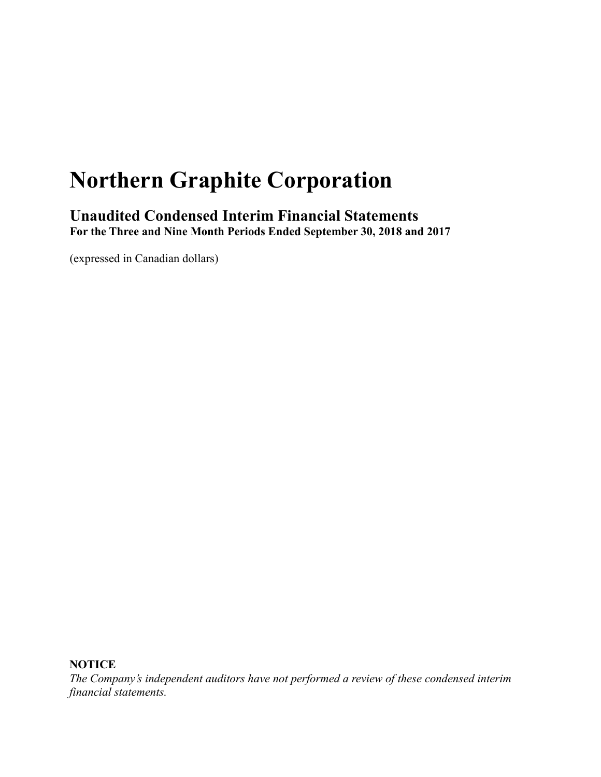# **Northern Graphite Corporation**

**Unaudited Condensed Interim Financial Statements For the Three and Nine Month Periods Ended September 30, 2018 and 2017**

(expressed in Canadian dollars)

**NOTICE**

*The Company's independent auditors have not performed a review of these condensed interim financial statements.*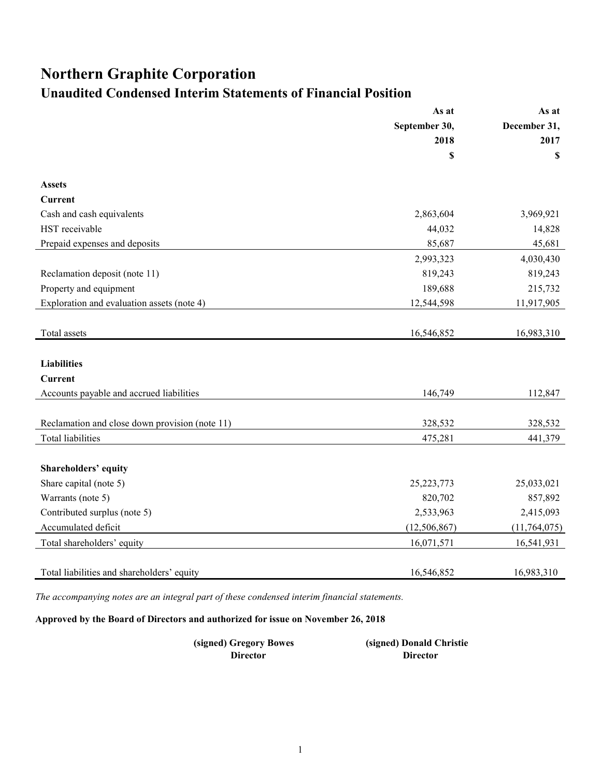# **Northern Graphite Corporation Unaudited Condensed Interim Statements of Financial Position**

|                                                | As at          | As at          |
|------------------------------------------------|----------------|----------------|
|                                                | September 30,  | December 31,   |
|                                                | 2018           | 2017           |
|                                                | \$             | \$             |
| <b>Assets</b>                                  |                |                |
| Current                                        |                |                |
| Cash and cash equivalents                      | 2,863,604      | 3,969,921      |
| HST receivable                                 | 44,032         | 14,828         |
| Prepaid expenses and deposits                  | 85,687         | 45,681         |
|                                                | 2,993,323      | 4,030,430      |
| Reclamation deposit (note 11)                  | 819,243        | 819,243        |
| Property and equipment                         | 189,688        | 215,732        |
| Exploration and evaluation assets (note 4)     | 12,544,598     | 11,917,905     |
|                                                |                |                |
| Total assets                                   | 16,546,852     | 16,983,310     |
|                                                |                |                |
| <b>Liabilities</b>                             |                |                |
| <b>Current</b>                                 |                |                |
| Accounts payable and accrued liabilities       | 146,749        | 112,847        |
|                                                |                |                |
| Reclamation and close down provision (note 11) | 328,532        | 328,532        |
| <b>Total liabilities</b>                       | 475,281        | 441,379        |
|                                                |                |                |
| Shareholders' equity                           |                |                |
| Share capital (note 5)                         | 25, 223, 773   | 25,033,021     |
| Warrants (note 5)                              | 820,702        | 857,892        |
| Contributed surplus (note 5)                   | 2,533,963      | 2,415,093      |
| Accumulated deficit                            | (12, 506, 867) | (11, 764, 075) |
| Total shareholders' equity                     | 16,071,571     | 16,541,931     |
|                                                |                |                |
| Total liabilities and shareholders' equity     | 16,546,852     | 16,983,310     |

*The accompanying notes are an integral part of these condensed interim financial statements.*

**Approved by the Board of Directors and authorized for issue on November 26, 2018**

| (signed) Gregory Bowes | (signed) Donald Christie |
|------------------------|--------------------------|
| Director               | Director                 |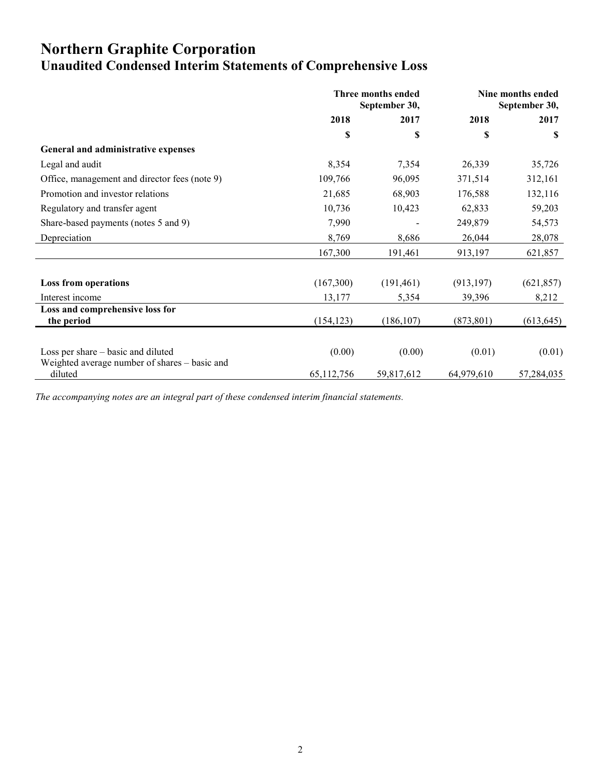# **Northern Graphite Corporation Unaudited Condensed Interim Statements of Comprehensive Loss**

|                                                          | Three months ended<br>September 30, |            | Nine months ended<br>September 30, |            |
|----------------------------------------------------------|-------------------------------------|------------|------------------------------------|------------|
|                                                          | 2018                                | 2017       | 2018                               | 2017       |
|                                                          | \$                                  | \$         | S                                  | S          |
| General and administrative expenses                      |                                     |            |                                    |            |
| Legal and audit                                          | 8,354                               | 7,354      | 26,339                             | 35,726     |
| Office, management and director fees (note 9)            | 109,766                             | 96,095     | 371,514                            | 312,161    |
| Promotion and investor relations                         | 21,685                              | 68,903     | 176,588                            | 132,116    |
| Regulatory and transfer agent                            | 10,736                              | 10,423     | 62,833                             | 59,203     |
| Share-based payments (notes 5 and 9)                     | 7,990                               |            | 249,879                            | 54,573     |
| Depreciation                                             | 8,769                               | 8,686      | 26,044                             | 28,078     |
|                                                          | 167,300                             | 191,461    | 913,197                            | 621,857    |
| <b>Loss from operations</b>                              | (167,300)                           | (191, 461) | (913, 197)                         | (621, 857) |
| Interest income                                          | 13,177                              | 5,354      | 39,396                             | 8,212      |
| Loss and comprehensive loss for<br>the period            | (154, 123)                          | (186, 107) | (873, 801)                         | (613, 645) |
|                                                          |                                     |            |                                    |            |
| Loss per share – basic and diluted                       | (0.00)                              | (0.00)     | (0.01)                             | (0.01)     |
| Weighted average number of shares – basic and<br>diluted | 65,112,756                          | 59,817,612 | 64,979,610                         | 57,284,035 |

*The accompanying notes are an integral part of these condensed interim financial statements.*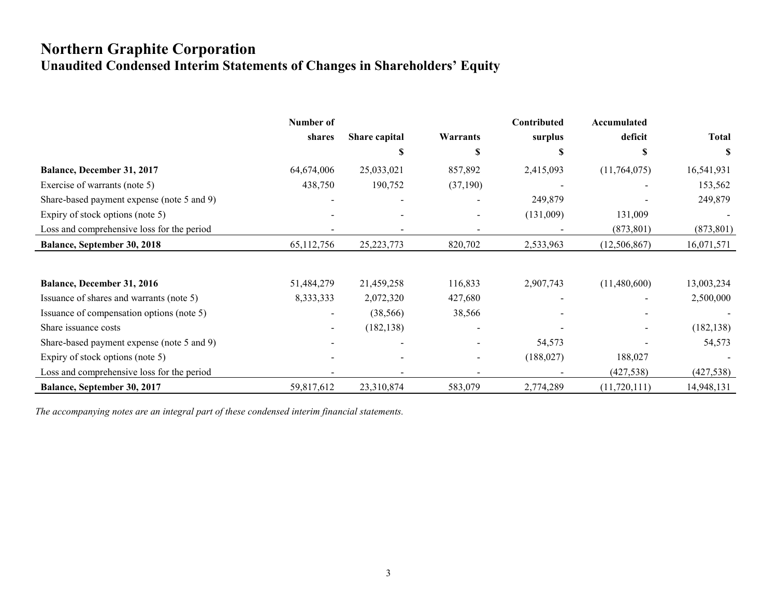# **Northern Graphite Corporation Unaudited Condensed Interim Statements of Changes in Shareholders' Equity**

|                                            | Number of    |               |                          | Contributed | Accumulated    |              |
|--------------------------------------------|--------------|---------------|--------------------------|-------------|----------------|--------------|
|                                            | shares       | Share capital | Warrants                 | surplus     | deficit        | <b>Total</b> |
|                                            |              | \$            | S                        | S           | S              | S            |
| Balance, December 31, 2017                 | 64,674,006   | 25,033,021    | 857,892                  | 2,415,093   | (11,764,075)   | 16,541,931   |
| Exercise of warrants (note 5)              | 438,750      | 190,752       | (37,190)                 |             |                | 153,562      |
| Share-based payment expense (note 5 and 9) |              |               |                          | 249,879     |                | 249,879      |
| Expiry of stock options (note 5)           |              |               | $\overline{\phantom{a}}$ | (131,009)   | 131,009        |              |
| Loss and comprehensive loss for the period |              |               |                          |             | (873, 801)     | (873, 801)   |
| <b>Balance, September 30, 2018</b>         | 65, 112, 756 | 25, 223, 773  | 820,702                  | 2,533,963   | (12, 506, 867) | 16,071,571   |
|                                            |              |               |                          |             |                |              |
| Balance, December 31, 2016                 | 51,484,279   | 21,459,258    | 116,833                  | 2,907,743   | (11,480,600)   | 13,003,234   |
| Issuance of shares and warrants (note 5)   | 8,333,333    | 2,072,320     | 427,680                  |             |                | 2,500,000    |
| Issuance of compensation options (note 5)  |              | (38, 566)     | 38,566                   |             |                |              |
| Share issuance costs                       |              | (182, 138)    |                          |             |                | (182, 138)   |
| Share-based payment expense (note 5 and 9) |              |               |                          | 54,573      |                | 54,573       |
| Expiry of stock options (note 5)           |              |               | $\overline{\phantom{0}}$ | (188, 027)  | 188,027        |              |
| Loss and comprehensive loss for the period |              |               |                          |             | (427, 538)     | (427, 538)   |
| Balance, September 30, 2017                | 59,817,612   | 23,310,874    | 583,079                  | 2,774,289   | (11, 720, 111) | 14,948,131   |

*The accompanying notes are an integral part of these condensed interim financial statements.*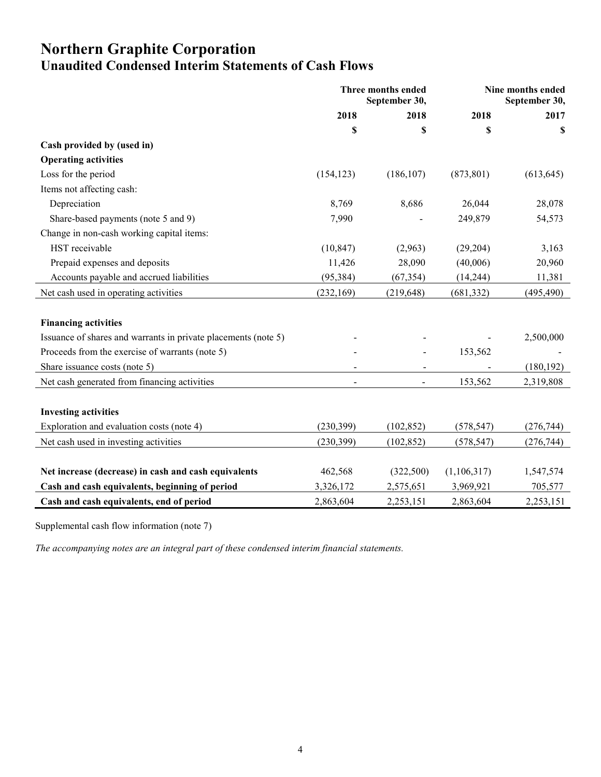# **Northern Graphite Corporation Unaudited Condensed Interim Statements of Cash Flows**

|                                                                | Three months ended<br>September 30, |                | Nine months ended<br>September 30, |            |
|----------------------------------------------------------------|-------------------------------------|----------------|------------------------------------|------------|
|                                                                | 2018                                | 2018           | 2018                               | 2017       |
|                                                                | \$                                  | \$             | \$                                 | \$         |
| Cash provided by (used in)                                     |                                     |                |                                    |            |
| <b>Operating activities</b>                                    |                                     |                |                                    |            |
| Loss for the period                                            | (154, 123)                          | (186, 107)     | (873, 801)                         | (613, 645) |
| Items not affecting cash:                                      |                                     |                |                                    |            |
| Depreciation                                                   | 8,769                               | 8,686          | 26,044                             | 28,078     |
| Share-based payments (note 5 and 9)                            | 7,990                               |                | 249,879                            | 54,573     |
| Change in non-cash working capital items:                      |                                     |                |                                    |            |
| HST receivable                                                 | (10, 847)                           | (2,963)        | (29, 204)                          | 3,163      |
| Prepaid expenses and deposits                                  | 11,426                              | 28,090         | (40,006)                           | 20,960     |
| Accounts payable and accrued liabilities                       | (95, 384)                           | (67, 354)      | (14, 244)                          | 11,381     |
| Net cash used in operating activities                          | (232, 169)                          | (219, 648)     | (681, 332)                         | (495, 490) |
|                                                                |                                     |                |                                    |            |
| <b>Financing activities</b>                                    |                                     |                |                                    |            |
| Issuance of shares and warrants in private placements (note 5) |                                     |                |                                    | 2,500,000  |
| Proceeds from the exercise of warrants (note 5)                |                                     |                | 153,562                            |            |
| Share issuance costs (note 5)                                  |                                     |                |                                    | (180, 192) |
| Net cash generated from financing activities                   | $\blacksquare$                      | $\blacksquare$ | 153,562                            | 2,319,808  |
|                                                                |                                     |                |                                    |            |
| <b>Investing activities</b>                                    |                                     |                |                                    |            |
| Exploration and evaluation costs (note 4)                      | (230, 399)                          | (102, 852)     | (578, 547)                         | (276, 744) |
| Net cash used in investing activities                          | (230, 399)                          | (102, 852)     | (578, 547)                         | (276, 744) |
|                                                                |                                     |                |                                    |            |
| Net increase (decrease) in cash and cash equivalents           | 462,568                             | (322,500)      | (1,106,317)                        | 1,547,574  |
| Cash and cash equivalents, beginning of period                 | 3,326,172                           | 2,575,651      | 3,969,921                          | 705,577    |
| Cash and cash equivalents, end of period                       | 2,863,604                           | 2,253,151      | 2,863,604                          | 2,253,151  |

Supplemental cash flow information (note 7)

*The accompanying notes are an integral part of these condensed interim financial statements.*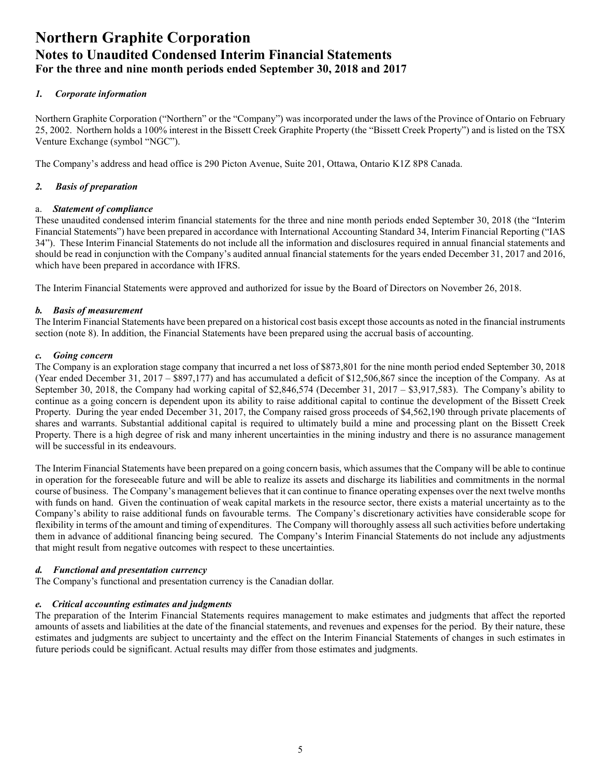#### *1. Corporate information*

Northern Graphite Corporation ("Northern" or the "Company") was incorporated under the laws of the Province of Ontario on February 25, 2002. Northern holds a 100% interest in the Bissett Creek Graphite Property (the "Bissett Creek Property") and is listed on the TSX Venture Exchange (symbol "NGC").

The Company's address and head office is 290 Picton Avenue, Suite 201, Ottawa, Ontario K1Z 8P8 Canada.

#### *2. Basis of preparation*

#### a. *Statement of compliance*

These unaudited condensed interim financial statements for the three and nine month periods ended September 30, 2018 (the "Interim Financial Statements") have been prepared in accordance with International Accounting Standard 34, Interim Financial Reporting ("IAS 34"). These Interim Financial Statements do not include all the information and disclosures required in annual financial statements and should be read in conjunction with the Company's audited annual financial statements for the years ended December 31, 2017 and 2016, which have been prepared in accordance with IFRS.

The Interim Financial Statements were approved and authorized for issue by the Board of Directors on November 26, 2018.

#### *b. Basis of measurement*

The Interim Financial Statements have been prepared on a historical cost basis except those accounts as noted in the financial instruments section (note 8). In addition, the Financial Statements have been prepared using the accrual basis of accounting.

#### *c. Going concern*

The Company is an exploration stage company that incurred a net loss of \$873,801 for the nine month period ended September 30, 2018 (Year ended December 31, 2017 – \$897,177) and has accumulated a deficit of \$12,506,867 since the inception of the Company. As at September 30, 2018, the Company had working capital of \$2,846,574 (December 31, 2017 – \$3,917,583). The Company's ability to continue as a going concern is dependent upon its ability to raise additional capital to continue the development of the Bissett Creek Property. During the year ended December 31, 2017, the Company raised gross proceeds of \$4,562,190 through private placements of shares and warrants. Substantial additional capital is required to ultimately build a mine and processing plant on the Bissett Creek Property. There is a high degree of risk and many inherent uncertainties in the mining industry and there is no assurance management will be successful in its endeavours.

The Interim Financial Statements have been prepared on a going concern basis, which assumes that the Company will be able to continue in operation for the foreseeable future and will be able to realize its assets and discharge its liabilities and commitments in the normal course of business. The Company's management believes that it can continue to finance operating expenses over the next twelve months with funds on hand. Given the continuation of weak capital markets in the resource sector, there exists a material uncertainty as to the Company's ability to raise additional funds on favourable terms. The Company's discretionary activities have considerable scope for flexibility in terms of the amount and timing of expenditures. The Company will thoroughly assess all such activities before undertaking them in advance of additional financing being secured. The Company's Interim Financial Statements do not include any adjustments that might result from negative outcomes with respect to these uncertainties.

#### *d. Functional and presentation currency*

The Company's functional and presentation currency is the Canadian dollar.

#### *e. Critical accounting estimates and judgments*

The preparation of the Interim Financial Statements requires management to make estimates and judgments that affect the reported amounts of assets and liabilities at the date of the financial statements, and revenues and expenses for the period. By their nature, these estimates and judgments are subject to uncertainty and the effect on the Interim Financial Statements of changes in such estimates in future periods could be significant. Actual results may differ from those estimates and judgments.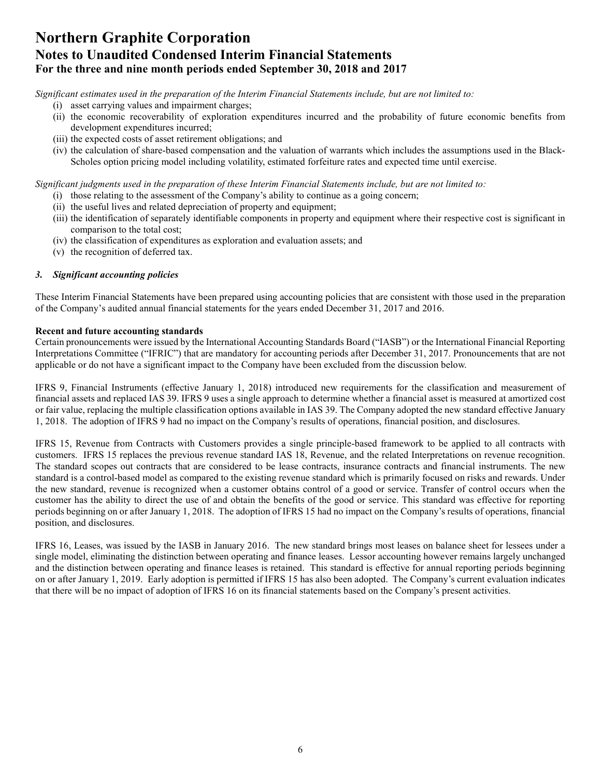*Significant estimates used in the preparation of the Interim Financial Statements include, but are not limited to:* 

- (i) asset carrying values and impairment charges;
- (ii) the economic recoverability of exploration expenditures incurred and the probability of future economic benefits from development expenditures incurred;
- (iii) the expected costs of asset retirement obligations; and
- (iv) the calculation of share-based compensation and the valuation of warrants which includes the assumptions used in the Black-Scholes option pricing model including volatility, estimated forfeiture rates and expected time until exercise.

*Significant judgments used in the preparation of these Interim Financial Statements include, but are not limited to:* 

- (i) those relating to the assessment of the Company's ability to continue as a going concern;
- (ii) the useful lives and related depreciation of property and equipment;
- (iii) the identification of separately identifiable components in property and equipment where their respective cost is significant in comparison to the total cost;
- (iv) the classification of expenditures as exploration and evaluation assets; and
- (v) the recognition of deferred tax.

#### *3. Significant accounting policies*

These Interim Financial Statements have been prepared using accounting policies that are consistent with those used in the preparation of the Company's audited annual financial statements for the years ended December 31, 2017 and 2016.

#### **Recent and future accounting standards**

Certain pronouncements were issued by the International Accounting Standards Board ("IASB") or the International Financial Reporting Interpretations Committee ("IFRIC") that are mandatory for accounting periods after December 31, 2017. Pronouncements that are not applicable or do not have a significant impact to the Company have been excluded from the discussion below.

IFRS 9, Financial Instruments (effective January 1, 2018) introduced new requirements for the classification and measurement of financial assets and replaced IAS 39. IFRS 9 uses a single approach to determine whether a financial asset is measured at amortized cost or fair value, replacing the multiple classification options available in IAS 39. The Company adopted the new standard effective January 1, 2018. The adoption of IFRS 9 had no impact on the Company's results of operations, financial position, and disclosures.

IFRS 15, Revenue from Contracts with Customers provides a single principle-based framework to be applied to all contracts with customers. IFRS 15 replaces the previous revenue standard IAS 18, Revenue, and the related Interpretations on revenue recognition. The standard scopes out contracts that are considered to be lease contracts, insurance contracts and financial instruments. The new standard is a control-based model as compared to the existing revenue standard which is primarily focused on risks and rewards. Under the new standard, revenue is recognized when a customer obtains control of a good or service. Transfer of control occurs when the customer has the ability to direct the use of and obtain the benefits of the good or service. This standard was effective for reporting periods beginning on or after January 1, 2018. The adoption of IFRS 15 had no impact on the Company's results of operations, financial position, and disclosures.

IFRS 16, Leases, was issued by the IASB in January 2016. The new standard brings most leases on balance sheet for lessees under a single model, eliminating the distinction between operating and finance leases. Lessor accounting however remains largely unchanged and the distinction between operating and finance leases is retained. This standard is effective for annual reporting periods beginning on or after January 1, 2019. Early adoption is permitted if IFRS 15 has also been adopted. The Company's current evaluation indicates that there will be no impact of adoption of IFRS 16 on its financial statements based on the Company's present activities.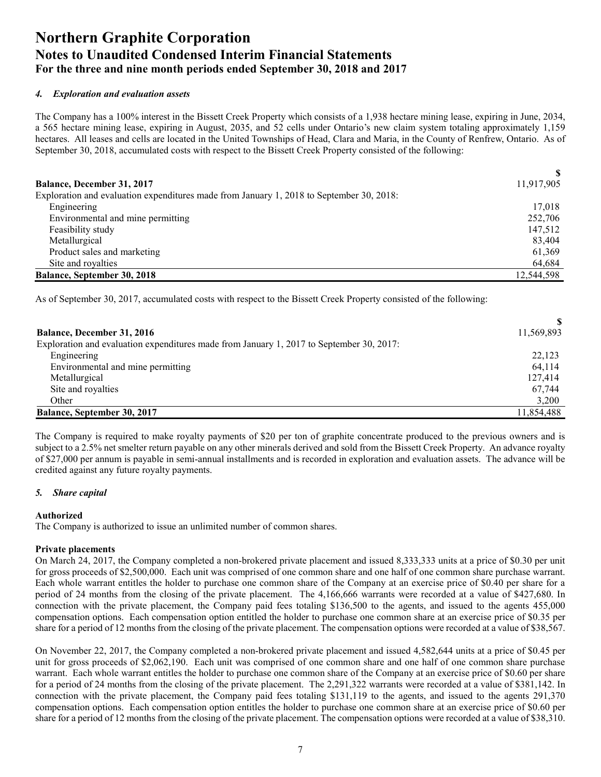#### *4. Exploration and evaluation assets*

The Company has a 100% interest in the Bissett Creek Property which consists of a 1,938 hectare mining lease, expiring in June, 2034, a 565 hectare mining lease, expiring in August, 2035, and 52 cells under Ontario's new claim system totaling approximately 1,159 hectares. All leases and cells are located in the United Townships of Head, Clara and Maria, in the County of Renfrew, Ontario. As of September 30, 2018, accumulated costs with respect to the Bissett Creek Property consisted of the following:

| <b>Balance, December 31, 2017</b>                                                        | 11,917,905 |
|------------------------------------------------------------------------------------------|------------|
| Exploration and evaluation expenditures made from January 1, 2018 to September 30, 2018: |            |
| Engineering                                                                              | 17,018     |
| Environmental and mine permitting                                                        | 252,706    |
| Feasibility study                                                                        | 147,512    |
| Metallurgical                                                                            | 83,404     |
| Product sales and marketing                                                              | 61,369     |
| Site and royalties                                                                       | 64,684     |
| <b>Balance, September 30, 2018</b>                                                       | 12.544.598 |

As of September 30, 2017, accumulated costs with respect to the Bissett Creek Property consisted of the following:

| <b>Balance, December 31, 2016</b>                                                        | 11,569,893 |
|------------------------------------------------------------------------------------------|------------|
| Exploration and evaluation expenditures made from January 1, 2017 to September 30, 2017: |            |
| Engineering                                                                              | 22,123     |
| Environmental and mine permitting                                                        | 64,114     |
| Metallurgical                                                                            | 127.414    |
| Site and royalties                                                                       | 67.744     |
| Other                                                                                    | 3,200      |
| <b>Balance, September 30, 2017</b>                                                       | 11.854.488 |

The Company is required to make royalty payments of \$20 per ton of graphite concentrate produced to the previous owners and is subject to a 2.5% net smelter return payable on any other minerals derived and sold from the Bissett Creek Property. An advance royalty of \$27,000 per annum is payable in semi-annual installments and is recorded in exploration and evaluation assets. The advance will be credited against any future royalty payments.

#### *5. Share capital*

#### **Authorized**

The Company is authorized to issue an unlimited number of common shares.

#### **Private placements**

On March 24, 2017, the Company completed a non-brokered private placement and issued 8,333,333 units at a price of \$0.30 per unit for gross proceeds of \$2,500,000. Each unit was comprised of one common share and one half of one common share purchase warrant. Each whole warrant entitles the holder to purchase one common share of the Company at an exercise price of \$0.40 per share for a period of 24 months from the closing of the private placement. The 4,166,666 warrants were recorded at a value of \$427,680. In connection with the private placement, the Company paid fees totaling \$136,500 to the agents, and issued to the agents 455,000 compensation options. Each compensation option entitled the holder to purchase one common share at an exercise price of \$0.35 per share for a period of 12 months from the closing of the private placement. The compensation options were recorded at a value of \$38,567.

On November 22, 2017, the Company completed a non-brokered private placement and issued 4,582,644 units at a price of \$0.45 per unit for gross proceeds of \$2,062,190. Each unit was comprised of one common share and one half of one common share purchase warrant. Each whole warrant entitles the holder to purchase one common share of the Company at an exercise price of \$0.60 per share for a period of 24 months from the closing of the private placement. The 2,291,322 warrants were recorded at a value of \$381,142. In connection with the private placement, the Company paid fees totaling \$131,119 to the agents, and issued to the agents 291,370 compensation options. Each compensation option entitles the holder to purchase one common share at an exercise price of \$0.60 per share for a period of 12 months from the closing of the private placement. The compensation options were recorded at a value of \$38,310.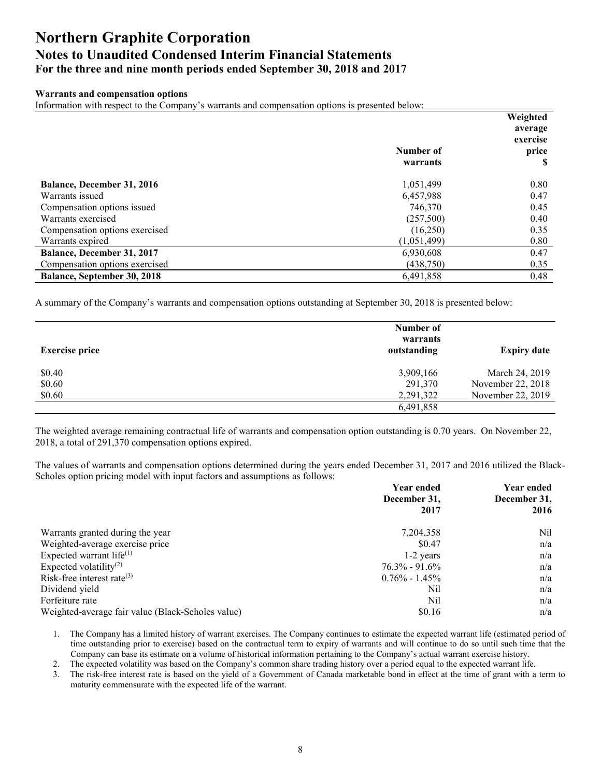#### **Warrants and compensation options**

Information with respect to the Company's warrants and compensation options is presented below:

|                                   |             | Weighted |
|-----------------------------------|-------------|----------|
|                                   |             | average  |
|                                   |             | exercise |
|                                   | Number of   | price    |
|                                   | warrants    | S        |
| <b>Balance, December 31, 2016</b> | 1,051,499   | 0.80     |
| Warrants issued                   | 6,457,988   | 0.47     |
| Compensation options issued       | 746,370     | 0.45     |
| Warrants exercised                | (257,500)   | 0.40     |
| Compensation options exercised    | (16,250)    | 0.35     |
| Warrants expired                  | (1,051,499) | 0.80     |
| <b>Balance, December 31, 2017</b> | 6,930,608   | 0.47     |
| Compensation options exercised    | (438,750)   | 0.35     |
| Balance, September 30, 2018       | 6,491,858   | 0.48     |

A summary of the Company's warrants and compensation options outstanding at September 30, 2018 is presented below:

| <b>Exercise price</b> | Number of<br>warrants<br>outstanding | <b>Expiry date</b> |
|-----------------------|--------------------------------------|--------------------|
| \$0.40                | 3,909,166                            | March 24, 2019     |
| \$0.60                | 291,370                              | November 22, 2018  |
| \$0.60                | 2,291,322                            | November 22, 2019  |
|                       | 6,491,858                            |                    |
|                       |                                      |                    |

The weighted average remaining contractual life of warrants and compensation option outstanding is 0.70 years. On November 22, 2018, a total of 291,370 compensation options expired.

The values of warrants and compensation options determined during the years ended December 31, 2017 and 2016 utilized the Black-Scholes option pricing model with input factors and assumptions as follows:

|                                                   | <b>Year ended</b> | Year ended   |  |
|---------------------------------------------------|-------------------|--------------|--|
|                                                   | December 31,      | December 31, |  |
|                                                   | 2017              | 2016         |  |
| Warrants granted during the year                  | 7,204,358         | Nil          |  |
| Weighted-average exercise price                   | \$0.47            | n/a          |  |
| Expected warrant life $(1)$                       | $1-2$ years       | n/a          |  |
| Expected volatility <sup>(2)</sup>                | $76.3\% - 91.6\%$ | n/a          |  |
| Risk-free interest rate $(3)$                     | $0.76\% - 1.45\%$ | n/a          |  |
| Dividend yield                                    | Nil               | n/a          |  |
| Forfeiture rate                                   | Nil               | n/a          |  |
| Weighted-average fair value (Black-Scholes value) | \$0.16            | n/a          |  |

1. The Company has a limited history of warrant exercises. The Company continues to estimate the expected warrant life (estimated period of time outstanding prior to exercise) based on the contractual term to expiry of warrants and will continue to do so until such time that the Company can base its estimate on a volume of historical information pertaining to the Company's actual warrant exercise history.

2. The expected volatility was based on the Company's common share trading history over a period equal to the expected warrant life.

3. The risk-free interest rate is based on the yield of a Government of Canada marketable bond in effect at the time of grant with a term to maturity commensurate with the expected life of the warrant.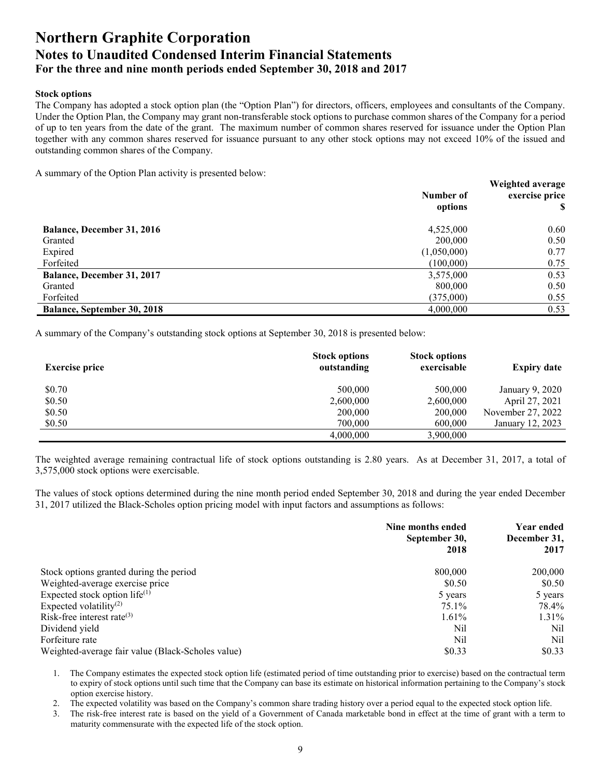#### **Stock options**

The Company has adopted a stock option plan (the "Option Plan") for directors, officers, employees and consultants of the Company. Under the Option Plan, the Company may grant non-transferable stock options to purchase common shares of the Company for a period of up to ten years from the date of the grant. The maximum number of common shares reserved for issuance under the Option Plan together with any common shares reserved for issuance pursuant to any other stock options may not exceed 10% of the issued and outstanding common shares of the Company.

A summary of the Option Plan activity is presented below:

|                                    | Number of<br>options | Weighted average<br>exercise price |
|------------------------------------|----------------------|------------------------------------|
| <b>Balance, December 31, 2016</b>  | 4,525,000            | 0.60                               |
| Granted                            | 200,000              | 0.50                               |
| Expired                            | (1,050,000)          | 0.77                               |
| Forfeited                          | (100,000)            | 0.75                               |
| <b>Balance, December 31, 2017</b>  | 3,575,000            | 0.53                               |
| Granted                            | 800,000              | 0.50                               |
| Forfeited                          | (375,000)            | 0.55                               |
| <b>Balance, September 30, 2018</b> | 4,000,000            | 0.53                               |

A summary of the Company's outstanding stock options at September 30, 2018 is presented below:

| <b>Exercise price</b> | <b>Stock options</b><br>outstanding | <b>Stock options</b><br>exercisable | <b>Expiry date</b> |
|-----------------------|-------------------------------------|-------------------------------------|--------------------|
| \$0.70                | 500,000                             | 500,000                             | January 9, 2020    |
| \$0.50                | 2,600,000                           | 2,600,000                           | April 27, 2021     |
| \$0.50                | 200,000                             | 200,000                             | November 27, 2022  |
| \$0.50                | 700,000                             | 600,000                             | January 12, 2023   |
|                       | 4,000,000                           | 3,900,000                           |                    |

The weighted average remaining contractual life of stock options outstanding is 2.80 years. As at December 31, 2017, a total of 3,575,000 stock options were exercisable.

The values of stock options determined during the nine month period ended September 30, 2018 and during the year ended December 31, 2017 utilized the Black-Scholes option pricing model with input factors and assumptions as follows:

|                                                   | Nine months ended<br>September 30,<br>2018 | Year ended<br>December 31,<br>2017 |  |
|---------------------------------------------------|--------------------------------------------|------------------------------------|--|
| Stock options granted during the period           | 800,000                                    | 200,000                            |  |
| Weighted-average exercise price                   | \$0.50                                     | \$0.50                             |  |
| Expected stock option life $^{(1)}$               | 5 years                                    | 5 years                            |  |
| Expected volatility <sup>(2)</sup>                | 75.1%                                      | 78.4%                              |  |
| Risk-free interest rate $(3)$                     | 1.61%                                      | 1.31%                              |  |
| Dividend yield                                    | Nil                                        | Nil                                |  |
| Forfeiture rate                                   | Nil                                        | Nil                                |  |
| Weighted-average fair value (Black-Scholes value) | \$0.33                                     | \$0.33                             |  |

1. The Company estimates the expected stock option life (estimated period of time outstanding prior to exercise) based on the contractual term to expiry of stock options until such time that the Company can base its estimate on historical information pertaining to the Company's stock option exercise history.

2. The expected volatility was based on the Company's common share trading history over a period equal to the expected stock option life.

3. The risk-free interest rate is based on the yield of a Government of Canada marketable bond in effect at the time of grant with a term to maturity commensurate with the expected life of the stock option.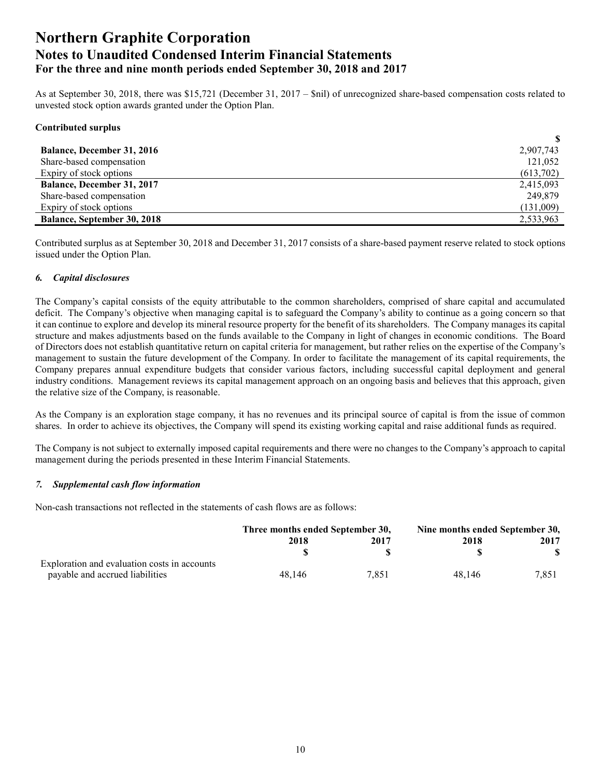As at September 30, 2018, there was \$15,721 (December 31, 2017 – \$nil) of unrecognized share-based compensation costs related to unvested stock option awards granted under the Option Plan.

**\$**

#### **Contributed surplus**

| <b>Balance, December 31, 2016</b>  | 2,907,743 |
|------------------------------------|-----------|
| Share-based compensation           | 121.052   |
| Expiry of stock options            | (613,702) |
| <b>Balance, December 31, 2017</b>  | 2,415,093 |
| Share-based compensation           | 249,879   |
| Expiry of stock options            | (131,009) |
| <b>Balance, September 30, 2018</b> | 2,533,963 |

Contributed surplus as at September 30, 2018 and December 31, 2017 consists of a share-based payment reserve related to stock options issued under the Option Plan.

#### *6. Capital disclosures*

The Company's capital consists of the equity attributable to the common shareholders, comprised of share capital and accumulated deficit. The Company's objective when managing capital is to safeguard the Company's ability to continue as a going concern so that it can continue to explore and develop its mineral resource property for the benefit of its shareholders. The Company manages its capital structure and makes adjustments based on the funds available to the Company in light of changes in economic conditions. The Board of Directors does not establish quantitative return on capital criteria for management, but rather relies on the expertise of the Company's management to sustain the future development of the Company. In order to facilitate the management of its capital requirements, the Company prepares annual expenditure budgets that consider various factors, including successful capital deployment and general industry conditions. Management reviews its capital management approach on an ongoing basis and believes that this approach, given the relative size of the Company, is reasonable.

As the Company is an exploration stage company, it has no revenues and its principal source of capital is from the issue of common shares. In order to achieve its objectives, the Company will spend its existing working capital and raise additional funds as required.

The Company is not subject to externally imposed capital requirements and there were no changes to the Company's approach to capital management during the periods presented in these Interim Financial Statements.

#### *7. Supplemental cash flow information*

Non-cash transactions not reflected in the statements of cash flows are as follows:

|                                              | Three months ended September 30, |       | Nine months ended September 30, |       |
|----------------------------------------------|----------------------------------|-------|---------------------------------|-------|
|                                              | 2018                             | 2017  | 2018                            | 2017  |
|                                              |                                  |       |                                 |       |
| Exploration and evaluation costs in accounts |                                  |       |                                 |       |
| payable and accrued liabilities              | 48.146                           | 7.851 | 48.146                          | 7.851 |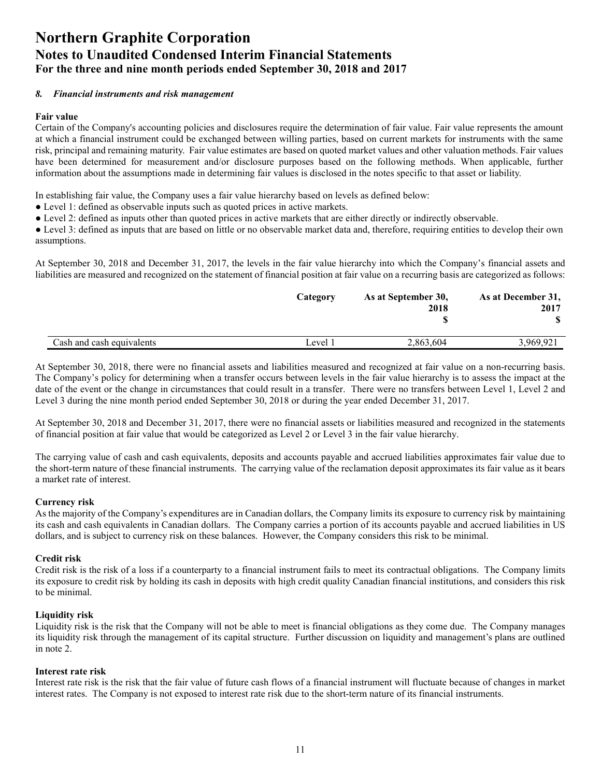#### *8. Financial instruments and risk management*

#### **Fair value**

Certain of the Company's accounting policies and disclosures require the determination of fair value. Fair value represents the amount at which a financial instrument could be exchanged between willing parties, based on current markets for instruments with the same risk, principal and remaining maturity. Fair value estimates are based on quoted market values and other valuation methods. Fair values have been determined for measurement and/or disclosure purposes based on the following methods. When applicable, further information about the assumptions made in determining fair values is disclosed in the notes specific to that asset or liability.

In establishing fair value, the Company uses a fair value hierarchy based on levels as defined below:

- Level 1: defined as observable inputs such as quoted prices in active markets.
- Level 2: defined as inputs other than quoted prices in active markets that are either directly or indirectly observable.

● Level 3: defined as inputs that are based on little or no observable market data and, therefore, requiring entities to develop their own assumptions.

At September 30, 2018 and December 31, 2017, the levels in the fair value hierarchy into which the Company's financial assets and liabilities are measured and recognized on the statement of financial position at fair value on a recurring basis are categorized as follows:

|                           | Category | As at September 30,<br>2018 | As at December 31,<br>2017 |
|---------------------------|----------|-----------------------------|----------------------------|
|                           |          |                             |                            |
| Cash and cash equivalents | Level 1  | 2,863,604                   | 3,969,921                  |

At September 30, 2018, there were no financial assets and liabilities measured and recognized at fair value on a non-recurring basis. The Company's policy for determining when a transfer occurs between levels in the fair value hierarchy is to assess the impact at the date of the event or the change in circumstances that could result in a transfer. There were no transfers between Level 1, Level 2 and Level 3 during the nine month period ended September 30, 2018 or during the year ended December 31, 2017.

At September 30, 2018 and December 31, 2017, there were no financial assets or liabilities measured and recognized in the statements of financial position at fair value that would be categorized as Level 2 or Level 3 in the fair value hierarchy.

The carrying value of cash and cash equivalents, deposits and accounts payable and accrued liabilities approximates fair value due to the short-term nature of these financial instruments. The carrying value of the reclamation deposit approximates its fair value as it bears a market rate of interest.

#### **Currency risk**

As the majority of the Company's expenditures are in Canadian dollars, the Company limits its exposure to currency risk by maintaining its cash and cash equivalents in Canadian dollars. The Company carries a portion of its accounts payable and accrued liabilities in US dollars, and is subject to currency risk on these balances. However, the Company considers this risk to be minimal.

#### **Credit risk**

Credit risk is the risk of a loss if a counterparty to a financial instrument fails to meet its contractual obligations. The Company limits its exposure to credit risk by holding its cash in deposits with high credit quality Canadian financial institutions, and considers this risk to be minimal.

#### **Liquidity risk**

Liquidity risk is the risk that the Company will not be able to meet is financial obligations as they come due. The Company manages its liquidity risk through the management of its capital structure. Further discussion on liquidity and management's plans are outlined in note 2.

#### **Interest rate risk**

Interest rate risk is the risk that the fair value of future cash flows of a financial instrument will fluctuate because of changes in market interest rates. The Company is not exposed to interest rate risk due to the short-term nature of its financial instruments.